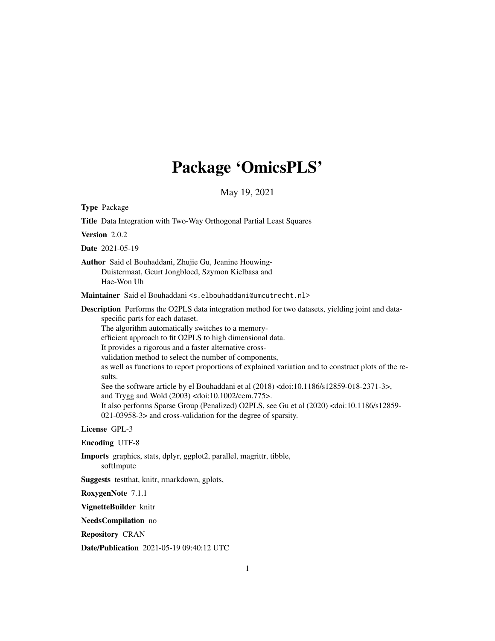# Package 'OmicsPLS'

May 19, 2021

<span id="page-0-0"></span>Type Package

Title Data Integration with Two-Way Orthogonal Partial Least Squares Version 2.0.2 Date 2021-05-19 Author Said el Bouhaddani, Zhujie Gu, Jeanine Houwing-Duistermaat, Geurt Jongbloed, Szymon Kielbasa and Hae-Won Uh Maintainer Said el Bouhaddani <s.elbouhaddani@umcutrecht.nl> Description Performs the O2PLS data integration method for two datasets, yielding joint and dataspecific parts for each dataset. The algorithm automatically switches to a memoryefficient approach to fit O2PLS to high dimensional data. It provides a rigorous and a faster alternative crossvalidation method to select the number of components, as well as functions to report proportions of explained variation and to construct plots of the results. See the software article by el Bouhaddani et al (2018) <doi:10.1186/s12859-018-2371-3>, and Trygg and Wold (2003) <doi:10.1002/cem.775>. It also performs Sparse Group (Penalized) O2PLS, see Gu et al (2020) <doi:10.1186/s12859- 021-03958-3> and cross-validation for the degree of sparsity. License GPL-3 Encoding UTF-8 Imports graphics, stats, dplyr, ggplot2, parallel, magrittr, tibble, softImpute

Suggests testthat, knitr, rmarkdown, gplots,

RoxygenNote 7.1.1

VignetteBuilder knitr

NeedsCompilation no

Repository CRAN

Date/Publication 2021-05-19 09:40:12 UTC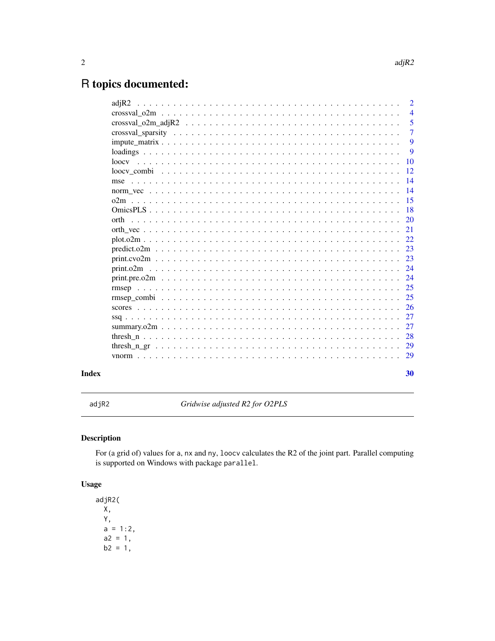## <span id="page-1-0"></span>R topics documented:

| adiR2             | $\mathcal{D}_{\mathcal{L}}$ |
|-------------------|-----------------------------|
|                   | $\overline{4}$              |
|                   | 5                           |
|                   | $\overline{7}$              |
|                   | 9                           |
|                   | 9                           |
| 100 <sub>cx</sub> | 10                          |
| loocy combi       | 12                          |
| mse               | 14                          |
|                   | 14                          |
| 02m               | 15                          |
|                   | 18                          |
| orth              | 20                          |
|                   | 21                          |
| $plot. o2m$       | 22.                         |
|                   | 23                          |
|                   | 23                          |
| print.02m         | 24                          |
|                   | 24                          |
|                   | 25                          |
|                   | 25                          |
|                   | 26                          |
| $sg$              | 27                          |
|                   | 27                          |
|                   | 28                          |
|                   | 29                          |
|                   | 29                          |
|                   | 30                          |
|                   |                             |

## **Index**

Gridwise adjusted R2 for O2PLS

## **Description**

For (a grid of) values for a, nx and ny, loocv calculates the R2 of the joint part. Parallel computing is supported on Windows with package parallel.

## **Usage**

 $adjR2($ Χ, Y,  $a = 1:2,$  $a2 = 1,$  $b2 = 1,$ 

 $adjR2$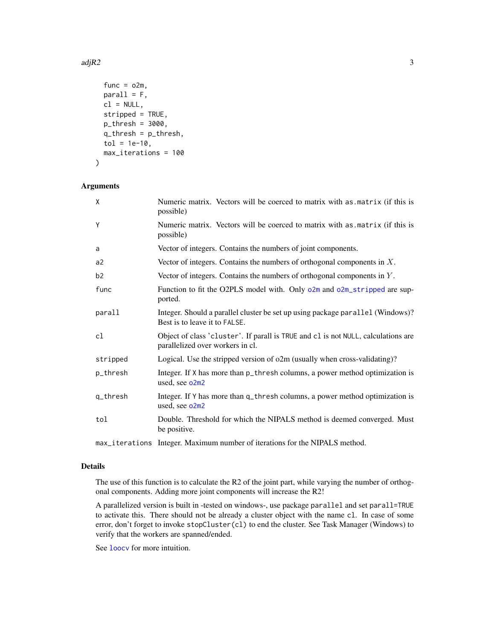#### <span id="page-2-0"></span> $\text{adjR2}$  3

```
func = o2m,
 parallel = F,
 cl = NULL,stripped = TRUE,
 p_{th}resh = 3000,
 q_thresh = p_thresh,
  tol = 1e-10,max_iterations = 100
\lambda
```
## Arguments

| X        | Numeric matrix. Vectors will be coerced to matrix with as matrix (if this is<br>possible)                             |
|----------|-----------------------------------------------------------------------------------------------------------------------|
| Y        | Numeric matrix. Vectors will be coerced to matrix with as matrix (if this is<br>possible)                             |
| a        | Vector of integers. Contains the numbers of joint components.                                                         |
| a2       | Vector of integers. Contains the numbers of orthogonal components in $X$ .                                            |
| b2       | Vector of integers. Contains the numbers of orthogonal components in $Y$ .                                            |
| func     | Function to fit the O2PLS model with. Only o2m and o2m_stripped are sup-<br>ported.                                   |
| parall   | Integer. Should a parallel cluster be set up using package parallel (Windows)?<br>Best is to leave it to FALSE.       |
| cl       | Object of class 'cluster'. If parall is TRUE and cl is not NULL, calculations are<br>parallelized over workers in cl. |
| stripped | Logical. Use the stripped version of o2m (usually when cross-validating)?                                             |
| p_thresh | Integer. If X has more than p_thresh columns, a power method optimization is<br>used, see o2m2                        |
| q_thresh | Integer. If Y has more than q_thresh columns, a power method optimization is<br>used, see o2m2                        |
| tol      | Double. Threshold for which the NIPALS method is deemed converged. Must<br>be positive.                               |
|          | may iterational Integer Meximum number of iterations for the NIDAL S method                                           |

#### max\_iterations Integer. Maximum number of iterations for the NIPALS method.

#### Details

The use of this function is to calculate the R2 of the joint part, while varying the number of orthogonal components. Adding more joint components will increase the R2!

A parallelized version is built in -tested on windows-, use package parallel and set parall=TRUE to activate this. There should not be already a cluster object with the name cl. In case of some error, don't forget to invoke stopCluster(cl) to end the cluster. See Task Manager (Windows) to verify that the workers are spanned/ended.

See [loocv](#page-9-1) for more intuition.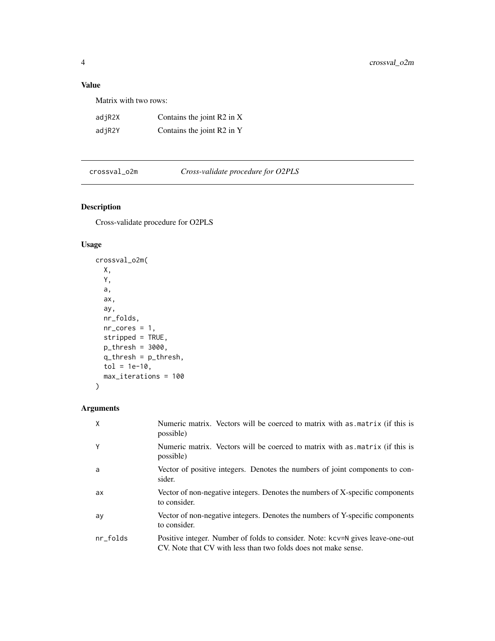## <span id="page-3-0"></span>Value

Matrix with two rows:

| adjR2X | Contains the joint R2 in X |
|--------|----------------------------|
| adjR2Y | Contains the joint R2 in Y |

<span id="page-3-1"></span>crossval\_o2m *Cross-validate procedure for O2PLS*

## Description

Cross-validate procedure for O2PLS

## Usage

```
crossval_o2m(
 X,
 Y,
 a,
 ax,
 ay,
 nr_folds,
 nr\_cores = 1,stripped = TRUE,
 p_thresh = 3000,
 q_thresh = p_thresh,
 tol = 1e-10,max_iterations = 100
)
```

| X        | Numeric matrix. Vectors will be coerced to matrix with as matrix (if this is<br>possible)                                                        |
|----------|--------------------------------------------------------------------------------------------------------------------------------------------------|
| Υ        | Numeric matrix. Vectors will be coerced to matrix with as matrix (if this is<br>possible)                                                        |
| a        | Vector of positive integers. Denotes the numbers of joint components to con-<br>sider.                                                           |
| ax       | Vector of non-negative integers. Denotes the numbers of X-specific components<br>to consider.                                                    |
| ay       | Vector of non-negative integers. Denotes the numbers of Y-specific components<br>to consider.                                                    |
| nr_folds | Positive integer. Number of folds to consider. Note: kcv=N gives leave-one-out<br>CV. Note that CV with less than two folds does not make sense. |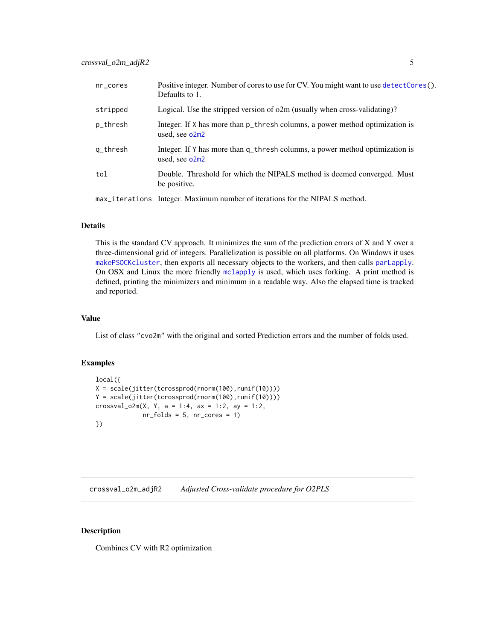<span id="page-4-0"></span>

| $nr\_cores$ | Positive integer. Number of cores to use for CV. You might want to use detect Cores ().<br>Defaults to 1.                                         |
|-------------|---------------------------------------------------------------------------------------------------------------------------------------------------|
| stripped    | Logical. Use the stripped version of $o2m$ (usually when cross-validating)?                                                                       |
| p_thresh    | Integer. If X has more than p_thresh columns, a power method optimization is<br>used, see $o2m2$                                                  |
| q_thresh    | Integer. If Y has more than q_thresh columns, a power method optimization is<br>used, see $o2m2$                                                  |
| tol         | Double. Threshold for which the NIPALS method is deemed converged. Must<br>be positive.                                                           |
|             | $\sim$ . The set of the set of $\mathbf{M}$ is the set of $\mathbf{M}$ is a set of $\mathbf{M}$ is a set of $\mathbf{M}$ is a set of $\mathbf{M}$ |

#### max\_iterations Integer. Maximum number of iterations for the NIPALS method.

#### Details

This is the standard CV approach. It minimizes the sum of the prediction errors of X and Y over a three-dimensional grid of integers. Parallelization is possible on all platforms. On Windows it uses [makePSOCKcluster](#page-0-0), then exports all necessary objects to the workers, and then calls [parLapply](#page-0-0). On OSX and Linux the more friendly [mclapply](#page-0-0) is used, which uses forking. A print method is defined, printing the minimizers and minimum in a readable way. Also the elapsed time is tracked and reported.

#### Value

List of class "cvo2m" with the original and sorted Prediction errors and the number of folds used.

#### Examples

```
local({
X = scale(jitter(tcrossprod(nnorm(100),runif(10))))Y = scale(jitter(tcrossprod(rnorm(100),runif(10))))
crossval_02m(X, Y, a = 1:4, ax = 1:2, ay = 1:2,nr_folds = 5, nr_cores = 1})
```
<span id="page-4-1"></span>crossval\_o2m\_adjR2 *Adjusted Cross-validate procedure for O2PLS*

## Description

Combines CV with R2 optimization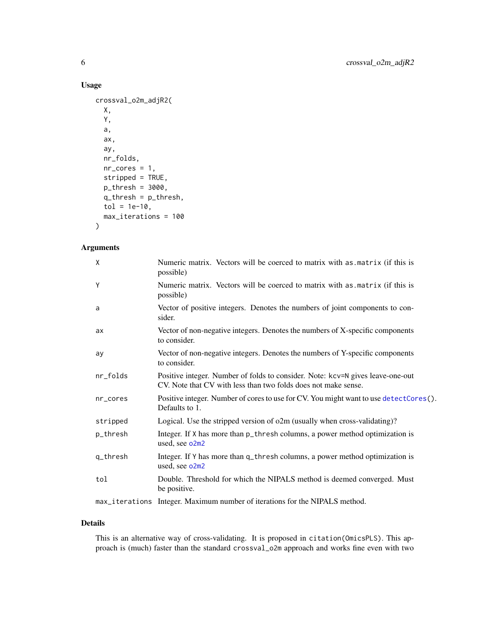## Usage

```
crossval_o2m_adjR2(
 X,
  Y,
 a,
  ax,
  ay,
 nr_folds,
 nr\_cores = 1,stripped = TRUE,
 p_thresh = 3000,
 q_thresh = p_thresh,
 tol = 1e-10,max_iterations = 100
)
```
## Arguments

| X        | Numeric matrix. Vectors will be coerced to matrix with as matrix (if this is<br>possible)                                                        |
|----------|--------------------------------------------------------------------------------------------------------------------------------------------------|
| Y        | Numeric matrix. Vectors will be coerced to matrix with as matrix (if this is<br>possible)                                                        |
| a        | Vector of positive integers. Denotes the numbers of joint components to con-<br>sider.                                                           |
| ax       | Vector of non-negative integers. Denotes the numbers of X-specific components<br>to consider.                                                    |
| ay       | Vector of non-negative integers. Denotes the numbers of Y-specific components<br>to consider.                                                    |
| nr_folds | Positive integer. Number of folds to consider. Note: kcv=N gives leave-one-out<br>CV. Note that CV with less than two folds does not make sense. |
| nr_cores | Positive integer. Number of cores to use for CV. You might want to use detectCores().<br>Defaults to 1.                                          |
| stripped | Logical. Use the stripped version of o2m (usually when cross-validating)?                                                                        |
| p_thresh | Integer. If X has more than p_thresh columns, a power method optimization is<br>used, see o2m2                                                   |
| q_thresh | Integer. If Y has more than q_thresh columns, a power method optimization is<br>used, see o2m2                                                   |
| tol      | Double. Threshold for which the NIPALS method is deemed converged. Must<br>be positive.                                                          |
|          | max_iterations Integer. Maximum number of iterations for the NIPALS method.                                                                      |

## Details

This is an alternative way of cross-validating. It is proposed in citation(OmicsPLS). This approach is (much) faster than the standard crossval\_o2m approach and works fine even with two

<span id="page-5-0"></span>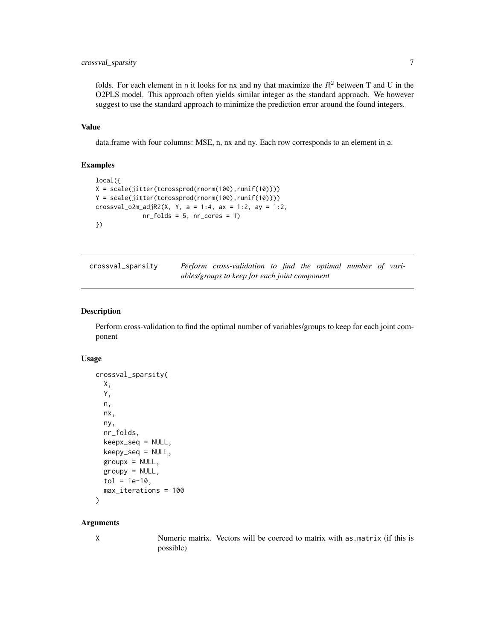## <span id="page-6-0"></span>crossval\_sparsity 7

folds. For each element in n it looks for nx and ny that maximize the  $R<sup>2</sup>$  between T and U in the O2PLS model. This approach often yields similar integer as the standard approach. We however suggest to use the standard approach to minimize the prediction error around the found integers.

#### Value

data.frame with four columns: MSE, n, nx and ny. Each row corresponds to an element in a.

## Examples

```
local({
X = scale(jitter(tcrossprod(rnorm(100),runif(10))))
Y = scale(jitter(tcrossprod(rnorm(100),runif(10))))
crossval_o2m_adjR2(X, Y, a = 1:4, ax = 1:2, ay = 1:2,
            nr_folds = 5, nr_cores = 1})
```
<span id="page-6-1"></span>

| crossval_sparsity | <b>Perform</b> cross-validation to find the optimal number of vari- |  |  |  |  |
|-------------------|---------------------------------------------------------------------|--|--|--|--|
|                   | ables/groups to keep for each joint component                       |  |  |  |  |

#### Description

Perform cross-validation to find the optimal number of variables/groups to keep for each joint component

#### Usage

```
crossval_sparsity(
 X,
  Y,
  n,
  nx,
 ny,
 nr_folds,
 keepx_seq = NULL,
 keepy_seq = NULL,
  groupx = NULL,groupy = NULL,
  tol = 1e-10,max_iterations = 100
)
```
#### Arguments

X Numeric matrix. Vectors will be coerced to matrix with as.matrix (if this is possible)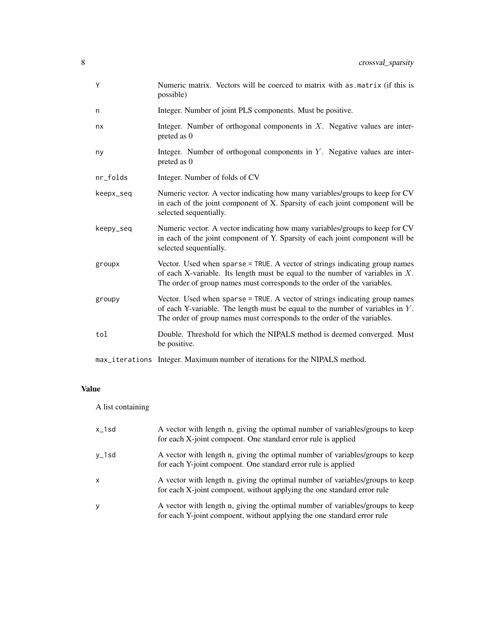| Υ         | Numeric matrix. Vectors will be coerced to matrix with as matrix (if this is<br>possible)                                                                                                                                                   |
|-----------|---------------------------------------------------------------------------------------------------------------------------------------------------------------------------------------------------------------------------------------------|
| n         | Integer. Number of joint PLS components. Must be positive.                                                                                                                                                                                  |
| nx        | Integer. Number of orthogonal components in $X$ . Negative values are inter-<br>preted as 0                                                                                                                                                 |
| ny        | Integer. Number of orthogonal components in Y. Negative values are inter-<br>preted as 0                                                                                                                                                    |
| nr_folds  | Integer. Number of folds of CV                                                                                                                                                                                                              |
| keepx_seq | Numeric vector. A vector indicating how many variables/groups to keep for CV<br>in each of the joint component of X. Sparsity of each joint component will be<br>selected sequentially.                                                     |
| keepy_seq | Numeric vector. A vector indicating how many variables/groups to keep for CV<br>in each of the joint component of Y. Sparsity of each joint component will be<br>selected sequentially.                                                     |
| groupx    | Vector. Used when sparse = TRUE. A vector of strings indicating group names<br>of each X-variable. Its length must be equal to the number of variables in $X$ .<br>The order of group names must corresponds to the order of the variables. |
| groupy    | Vector. Used when sparse = TRUE. A vector of strings indicating group names<br>of each Y-variable. The length must be equal to the number of variables in $Y$ .<br>The order of group names must corresponds to the order of the variables. |
| tol       | Double. Threshold for which the NIPALS method is deemed converged. Must<br>be positive.                                                                                                                                                     |
|           | max_iterations Integer. Maximum number of iterations for the NIPALS method.                                                                                                                                                                 |

## Value

A list containing

| $x_1$ sd | A vector with length n, giving the optimal number of variables/groups to keep<br>for each X-joint compoent. One standard error rule is applied           |
|----------|----------------------------------------------------------------------------------------------------------------------------------------------------------|
| y_1sd    | A vector with length n, giving the optimal number of variables/groups to keep<br>for each Y-joint compoent. One standard error rule is applied           |
| x        | A vector with length n, giving the optimal number of variables/groups to keep<br>for each X-joint compoent, without applying the one standard error rule |
| y        | A vector with length n, giving the optimal number of variables/groups to keep<br>for each Y-joint compoent, without applying the one standard error rule |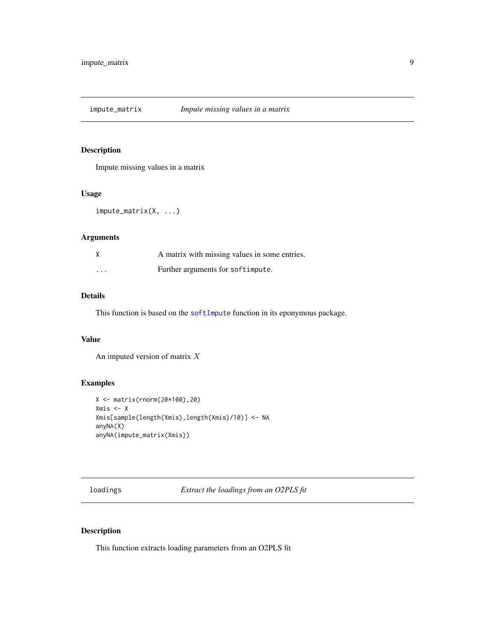<span id="page-8-2"></span><span id="page-8-0"></span>impute\_matrix *Impute missing values in a matrix*

## Description

Impute missing values in a matrix

#### Usage

impute\_matrix(X, ...)

#### Arguments

|                         | A matrix with missing values in some entries. |
|-------------------------|-----------------------------------------------|
| $\cdot$ $\cdot$ $\cdot$ | Further arguments for softimpute.             |

## Details

This function is based on the [softImpute](#page-0-0) function in its eponymous package.

#### Value

An imputed version of matrix X

#### Examples

```
X <- matrix(rnorm(20*100),20)
Xmis <- X
Xmis[sample(length(Xmis),length(Xmis)/10)] <- NA
anyNA(X)
anyNA(impute_matrix(Xmis))
```
<span id="page-8-1"></span>loadings *Extract the loadings from an O2PLS fit*

## <span id="page-8-3"></span>Description

This function extracts loading parameters from an O2PLS fit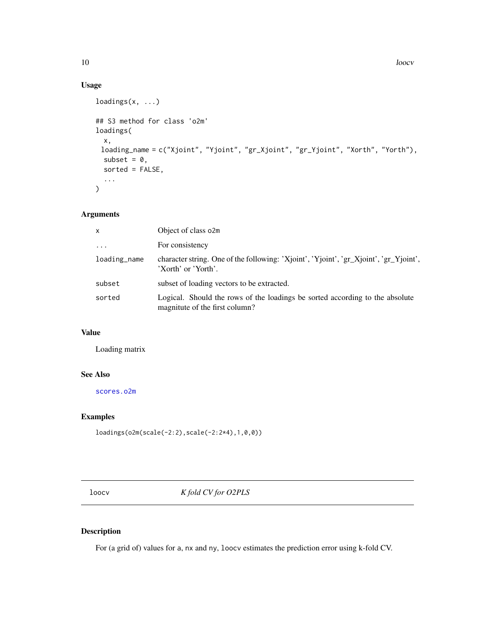## Usage

```
loadings(x, ...)
## S3 method for class 'o2m'
loadings(
 x,
 loading_name = c("Xjoint", "Yjoint", "gr_Xjoint", "gr_Yjoint", "Xorth", "Yorth"),
 subset = 0,
 sorted = FALSE,
  ...
)
```
## Arguments

| $\mathsf{x}$ | Object of class o2m                                                                                            |
|--------------|----------------------------------------------------------------------------------------------------------------|
| $\cdots$     | For consistency                                                                                                |
| loading_name | character string. One of the following: 'Xjoint', 'Yjoint', 'gr_Xjoint', 'gr_Yjoint',<br>'Xorth' or 'Yorth'.   |
| subset       | subset of loading vectors to be extracted.                                                                     |
| sorted       | Logical. Should the rows of the loadings be sorted according to the absolute<br>magnitute of the first column? |

#### Value

Loading matrix

## See Also

[scores.o2m](#page-25-1)

## Examples

```
loadings(o2m(scale(-2:2),scale(-2:2*4),1,0,0))
```
<span id="page-9-1"></span>loocv *K fold CV for O2PLS*

## Description

For (a grid of) values for a, nx and ny, loocv estimates the prediction error using k-fold CV.

<span id="page-9-0"></span>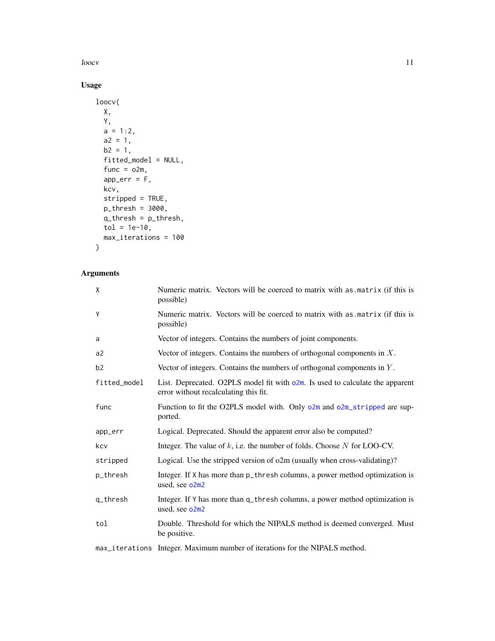<span id="page-10-0"></span> $l$ loocv  $l$  11

## Usage

```
loocv(
  X,
 Y,
  a = 1:2,a2 = 1,b2 = 1,
  fitted_model = NULL,
  func = o2m,
  app_err = F,
  kcv,
  stripped = TRUE,
  p_thresh = 3000,
  q_{\text{-}}thresh = p_{\text{-}}thresh,
  tol = 1e-10,max_iterations = 100
\mathcal{L}
```

| X            | Numeric matrix. Vectors will be coerced to matrix with as matrix (if this is<br>possible)                              |
|--------------|------------------------------------------------------------------------------------------------------------------------|
| Y            | Numeric matrix. Vectors will be coerced to matrix with as matrix (if this is<br>possible)                              |
| a            | Vector of integers. Contains the numbers of joint components.                                                          |
| a2           | Vector of integers. Contains the numbers of orthogonal components in $X$ .                                             |
| b2           | Vector of integers. Contains the numbers of orthogonal components in $Y$ .                                             |
| fitted_model | List. Deprecated. O2PLS model fit with o2m. Is used to calculate the apparent<br>error without recalculating this fit. |
| func         | Function to fit the O2PLS model with. Only o2m and o2m_stripped are sup-<br>ported.                                    |
| app_err      | Logical. Deprecated. Should the apparent error also be computed?                                                       |
| kcv          | Integer. The value of $k$ , i.e. the number of folds. Choose $N$ for LOO-CV.                                           |
| stripped     | Logical. Use the stripped version of o2m (usually when cross-validating)?                                              |
| p_thresh     | Integer. If X has more than p_thresh columns, a power method optimization is<br>used, see o2m2                         |
| q_thresh     | Integer. If Y has more than q_thresh columns, a power method optimization is<br>used, see o2m2                         |
| tol          | Double. Threshold for which the NIPALS method is deemed converged. Must<br>be positive.                                |
|              | max_iterations Integer. Maximum number of iterations for the NIPALS method.                                            |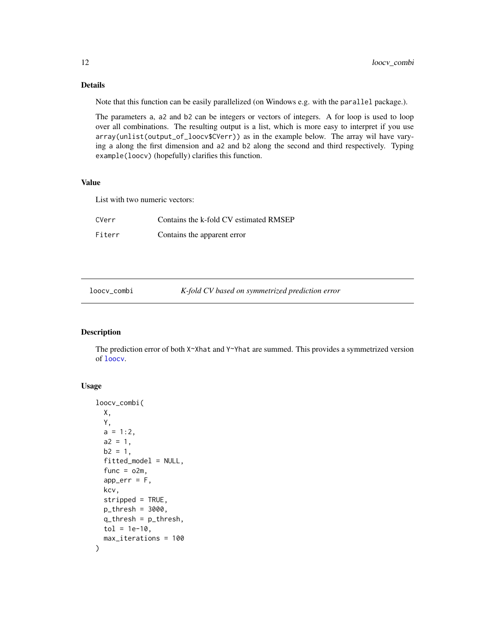## <span id="page-11-0"></span>Details

Note that this function can be easily parallelized (on Windows e.g. with the parallel package.).

The parameters a, a2 and b2 can be integers or vectors of integers. A for loop is used to loop over all combinations. The resulting output is a list, which is more easy to interpret if you use array(unlist(output\_of\_loocv\$CVerr)) as in the example below. The array wil have varying a along the first dimension and a2 and b2 along the second and third respectively. Typing example(loocv) (hopefully) clarifies this function.

#### Value

List with two numeric vectors:

| CVerr  | Contains the k-fold CV estimated RMSEP |
|--------|----------------------------------------|
| Fiterr | Contains the apparent error            |

loocv\_combi *K-fold CV based on symmetrized prediction error*

#### Description

The prediction error of both X~Xhat and Y~Yhat are summed. This provides a symmetrized version of [loocv](#page-9-1).

#### Usage

```
loocv_combi(
 X,
  Y,
  a = 1:2,a2 = 1,
 b2 = 1,
  fitted_model = NULL,
  func = o2m,
  app_error = F,kcv,
  stripped = TRUE,
  p_thresh = 3000,
  q_{\text{-}}thresh = p_{\text{-}}thresh,
  tol = 1e-10,max_iterations = 100
)
```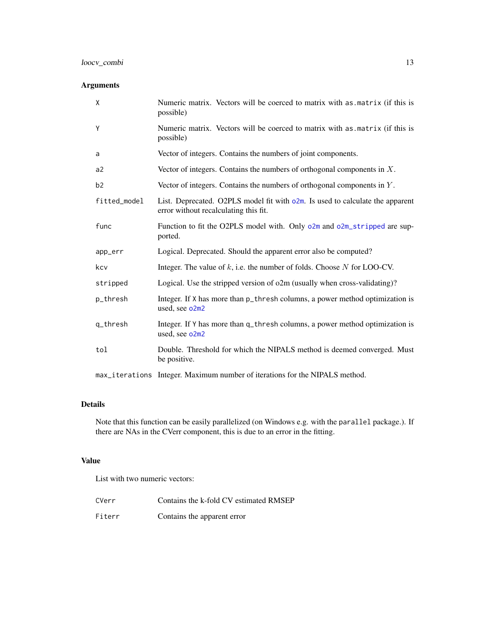## <span id="page-12-0"></span>loocv\_combi 13

## Arguments

| X              | Numeric matrix. Vectors will be coerced to matrix with as matrix (if this is<br>possible)                                 |
|----------------|---------------------------------------------------------------------------------------------------------------------------|
| Υ              | Numeric matrix. Vectors will be coerced to matrix with as matrix (if this is<br>possible)                                 |
| a              | Vector of integers. Contains the numbers of joint components.                                                             |
| a2             | Vector of integers. Contains the numbers of orthogonal components in $X$ .                                                |
| b <sub>2</sub> | Vector of integers. Contains the numbers of orthogonal components in $Y$ .                                                |
| fitted_model   | List. Deprecated. O2PLS model fit with $o2m$ . Is used to calculate the apparent<br>error without recalculating this fit. |
| func           | Function to fit the O2PLS model with. Only o2m and o2m_stripped are sup-<br>ported.                                       |
| app_err        | Logical. Deprecated. Should the apparent error also be computed?                                                          |
| kcv            | Integer. The value of $k$ , i.e. the number of folds. Choose $N$ for LOO-CV.                                              |
| stripped       | Logical. Use the stripped version of o2m (usually when cross-validating)?                                                 |
| p_thresh       | Integer. If X has more than p_thresh columns, a power method optimization is<br>used, see o2m2                            |
| q_thresh       | Integer. If Y has more than q_thresh columns, a power method optimization is<br>used, see o2m2                            |
| tol            | Double. Threshold for which the NIPALS method is deemed converged. Must<br>be positive.                                   |
|                | max_iterations Integer. Maximum number of iterations for the NIPALS method.                                               |

#### Details

Note that this function can be easily parallelized (on Windows e.g. with the parallel package.). If there are NAs in the CVerr component, this is due to an error in the fitting.

## Value

List with two numeric vectors:

| CVerr  | Contains the k-fold CV estimated RMSEP |
|--------|----------------------------------------|
| Fiterr | Contains the apparent error            |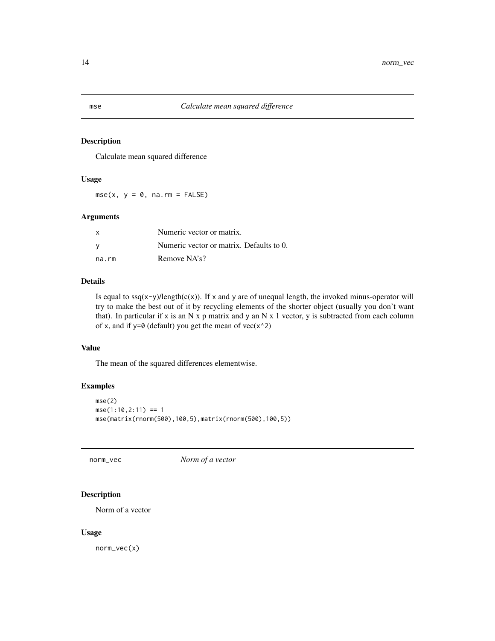## Description

Calculate mean squared difference

#### Usage

 $mse(x, y = 0, na.rm = FALSE)$ 

#### Arguments

|       | Numeric vector or matrix.                |
|-------|------------------------------------------|
|       | Numeric vector or matrix. Defaults to 0. |
| na.rm | Remove NA's?                             |

## Details

Is equal to  $\text{sg}(x-y)/\text{length}(c(x))$ . If x and y are of unequal length, the invoked minus-operator will try to make the best out of it by recycling elements of the shorter object (usually you don't want that). In particular if x is an N x p matrix and y an N x 1 vector, y is subtracted from each column of x, and if  $y=0$  (default) you get the mean of  $vec(x^2)$ 

#### Value

The mean of the squared differences elementwise.

## Examples

```
mse(2)
mse(1:10, 2:11) == 1mse(matrix(rnorm(500),100,5),matrix(rnorm(500),100,5))
```
norm\_vec *Norm of a vector*

### Description

Norm of a vector

#### Usage

norm\_vec(x)

<span id="page-13-1"></span><span id="page-13-0"></span>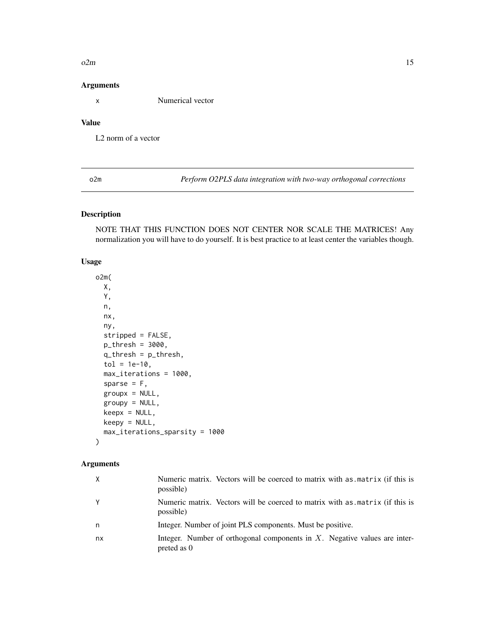#### <span id="page-14-0"></span> $o2m$  15

#### Arguments

x Numerical vector

## Value

L2 norm of a vector

<span id="page-14-1"></span>o2m *Perform O2PLS data integration with two-way orthogonal corrections*

## Description

NOTE THAT THIS FUNCTION DOES NOT CENTER NOR SCALE THE MATRICES! Any normalization you will have to do yourself. It is best practice to at least center the variables though.

## Usage

o2m( X, Y, n, nx, ny, stripped = FALSE, p\_thresh = 3000, q\_thresh = p\_thresh,  $tol = 1e-10,$ max\_iterations = 1000, sparse =  $F$ , groupx = NULL, groupy = NULL,  $keepx = NULL,$ keepy = NULL, max\_iterations\_sparsity = 1000  $\mathcal{L}$ 

| X  | Numeric matrix. Vectors will be coerced to matrix with as matrix (if this is<br>possible)   |
|----|---------------------------------------------------------------------------------------------|
| Y  | Numeric matrix. Vectors will be coerced to matrix with as matrix (if this is<br>possible)   |
| n  | Integer. Number of joint PLS components. Must be positive.                                  |
| nx | Integer. Number of orthogonal components in $X$ . Negative values are inter-<br>preted as 0 |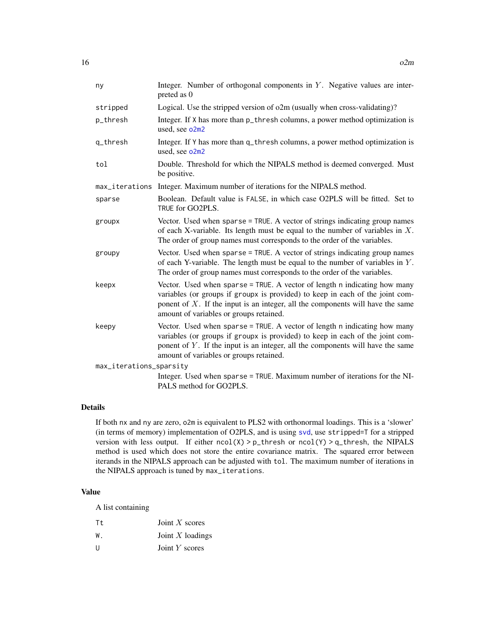<span id="page-15-0"></span>

| ny                      | Integer. Number of orthogonal components in $Y$ . Negative values are inter-<br>preted as 0                                                                                                                                                                                                |
|-------------------------|--------------------------------------------------------------------------------------------------------------------------------------------------------------------------------------------------------------------------------------------------------------------------------------------|
| stripped                | Logical. Use the stripped version of o2m (usually when cross-validating)?                                                                                                                                                                                                                  |
| p_thresh                | Integer. If X has more than p_thresh columns, a power method optimization is<br>used, see o2m2                                                                                                                                                                                             |
| q_thresh                | Integer. If Y has more than q_thresh columns, a power method optimization is<br>used, see o2m2                                                                                                                                                                                             |
| tol                     | Double. Threshold for which the NIPALS method is deemed converged. Must<br>be positive.                                                                                                                                                                                                    |
| max_iterations          | Integer. Maximum number of iterations for the NIPALS method.                                                                                                                                                                                                                               |
| sparse                  | Boolean. Default value is FALSE, in which case O2PLS will be fitted. Set to<br>TRUE for GO2PLS.                                                                                                                                                                                            |
| groupx                  | Vector. Used when sparse = TRUE. A vector of strings indicating group names<br>of each X-variable. Its length must be equal to the number of variables in $X$ .<br>The order of group names must corresponds to the order of the variables.                                                |
| groupy                  | Vector. Used when sparse = TRUE. A vector of strings indicating group names<br>of each Y-variable. The length must be equal to the number of variables in $Y$ .<br>The order of group names must corresponds to the order of the variables.                                                |
| keepx                   | Vector. Used when sparse = TRUE. A vector of length n indicating how many<br>variables (or groups if groupx is provided) to keep in each of the joint com-<br>ponent of $X$ . If the input is an integer, all the components will have the same<br>amount of variables or groups retained. |
| keepy                   | Vector. Used when sparse = TRUE. A vector of length n indicating how many<br>variables (or groups if groupx is provided) to keep in each of the joint com-<br>ponent of $Y$ . If the input is an integer, all the components will have the same<br>amount of variables or groups retained. |
| max_iterations_sparsity |                                                                                                                                                                                                                                                                                            |
|                         | Integer. Used when sparse = TRUE. Maximum number of iterations for the NI-<br>PALS method for GO2PLS.                                                                                                                                                                                      |

#### Details

If both nx and ny are zero, o2m is equivalent to PLS2 with orthonormal loadings. This is a 'slower' (in terms of memory) implementation of O2PLS, and is using [svd](#page-0-0), use stripped=T for a stripped version with less output. If either  $ncol(X) > p_{\text{th}}$ resh or  $ncol(Y) > q_{\text{th}}$ resh, the NIPALS method is used which does not store the entire covariance matrix. The squared error between iterands in the NIPALS approach can be adjusted with tol. The maximum number of iterations in the NIPALS approach is tuned by max\_iterations.

#### Value

A list containing

| Tt. | Joint $X$ scores   |
|-----|--------------------|
| W.  | Joint $X$ loadings |
| U   | Joint Y scores     |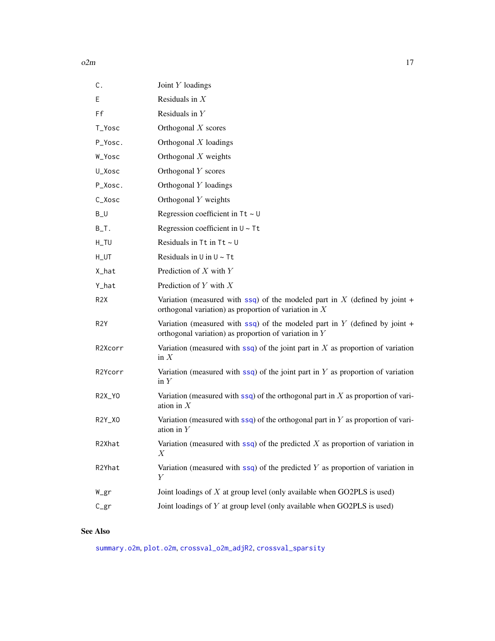<span id="page-16-0"></span>

| C.                     | Joint $Y$ loadings                                                                                                                    |
|------------------------|---------------------------------------------------------------------------------------------------------------------------------------|
| Ε                      | Residuals in $X$                                                                                                                      |
| Ff                     | Residuals in $Y$                                                                                                                      |
| T_Yosc                 | Orthogonal $X$ scores                                                                                                                 |
| P_Yosc.                | Orthogonal $X$ loadings                                                                                                               |
| W_Yosc                 | Orthogonal $X$ weights                                                                                                                |
| U_Xosc                 | Orthogonal Y scores                                                                                                                   |
| P_Xosc.                | Orthogonal Y loadings                                                                                                                 |
| C_Xosc                 | Orthogonal Y weights                                                                                                                  |
| $B_U$                  | Regression coefficient in $Tt \sim U$                                                                                                 |
| $B$ <sub>-</sub> $T$ . | Regression coefficient in $U \sim Tt$                                                                                                 |
| $H_TU$                 | Residuals in $Tt$ in $Tt \sim U$                                                                                                      |
| $H_UTT$                | Residuals in $U$ in $U \sim Tt$                                                                                                       |
| X_hat                  | Prediction of $X$ with $Y$                                                                                                            |
| Y_hat                  | Prediction of $Y$ with $X$                                                                                                            |
| R <sub>2</sub> X       | Variation (measured with ssq) of the modeled part in X (defined by joint +<br>orthogonal variation) as proportion of variation in $X$ |
| R <sub>2</sub> Y       | Variation (measured with ssq) of the modeled part in Y (defined by joint +<br>orthogonal variation) as proportion of variation in $Y$ |
| R2Xcorr                | Variation (measured with $\mathsf{ssq}$ ) of the joint part in X as proportion of variation<br>in $X$                                 |
| R2Ycorr                | Variation (measured with $ssq$ ) of the joint part in Y as proportion of variation<br>in $Y$                                          |
| R <sub>2X</sub> _YO    | Variation (measured with $ssq$ ) of the orthogonal part in X as proportion of vari-<br>ation in $X$                                   |
| R2Y_XO                 | Variation (measured with $ssq$ ) of the orthogonal part in Y as proportion of vari-<br>ation in $Y$                                   |
| R2Xhat                 | Variation (measured with $ssq$ ) of the predicted X as proportion of variation in<br>X                                                |
| R2Yhat                 | Variation (measured with $ssq$ ) of the predicted Y as proportion of variation in<br>Υ                                                |
| W_gr                   | Joint loadings of $X$ at group level (only available when GO2PLS is used)                                                             |
| $C_{gr}$               | Joint loadings of $Y$ at group level (only available when GO2PLS is used)                                                             |

## See Also

[summary.o2m](#page-26-2), [plot.o2m](#page-21-1), [crossval\\_o2m\\_adjR2](#page-4-1), [crossval\\_sparsity](#page-6-1)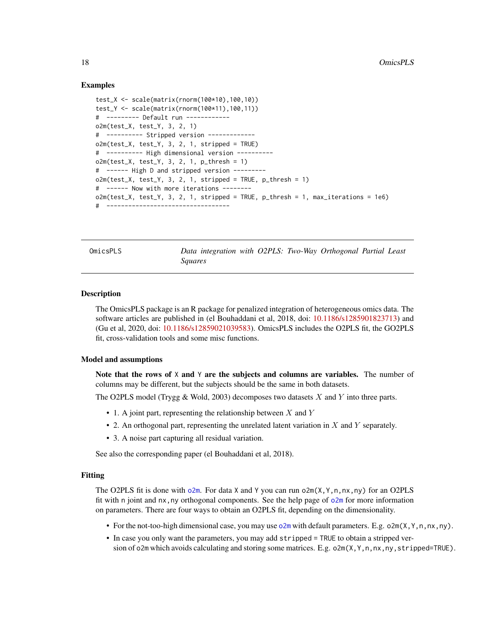#### Examples

```
test_X <- scale(matrix(rnorm(100*10),100,10))
test_Y <- scale(matrix(rnorm(100*11),100,11))
# --------- Default run ------------
o2m(test_X, test_Y, 3, 2, 1)
# ---------- Stripped version -------------
o2m(test_X, test_Y, 3, 2, 1, stripped = TRUE)
# ---------- High dimensional version ----------
o2m(test_X, test_Y, 3, 2, 1, p_thresh = 1)
# ------ High D and stripped version ---------
o2m(test_X, test_Y, 3, 2, 1, stripped = TRUE, p_thresh = 1)# ------ Now with more iterations --------
o2m(test_X, test_Y, 3, 2, 1, stripped = TRUE, p_thresh = 1, max_iterations = 1e6)
# ----------------------------------
```
OmicsPLS *Data integration with O2PLS: Two-Way Orthogonal Partial Least Squares*

#### Description

The OmicsPLS package is an R package for penalized integration of heterogeneous omics data. The software articles are published in (el Bouhaddani et al, 2018, doi: [10.1186/s1285901823713\)](https://doi.org/10.1186/s12859-018-2371-3) and (Gu et al, 2020, doi: [10.1186/s12859021039583\)](https://doi.org/10.1186/s12859-021-03958-3). OmicsPLS includes the O2PLS fit, the GO2PLS fit, cross-validation tools and some misc functions.

#### Model and assumptions

Note that the rows of  $X$  and  $Y$  are the subjects and columns are variables. The number of columns may be different, but the subjects should be the same in both datasets.

The O2PLS model (Trygg & Wold, 2003) decomposes two datasets  $X$  and  $Y$  into three parts.

- 1. A joint part, representing the relationship between  $X$  and  $Y$
- 2. An orthogonal part, representing the unrelated latent variation in X and Y separately.
- 3. A noise part capturing all residual variation.

See also the corresponding paper (el Bouhaddani et al, 2018).

#### Fitting

The O2PLS fit is done with  $o2m$ . For data X and Y you can run  $o2m(X, Y, n, nx, ny)$  for an O2PLS fit with n joint and nx,ny orthogonal components. See the help page of [o2m](#page-14-1) for more information on parameters. There are four ways to obtain an O2PLS fit, depending on the dimensionality.

- For the not-too-high dimensional case, you may use  $\circ$ 2m with default parameters. E.g.  $\circ$ 2m(X,Y,n,nx,ny).
- In case you only want the parameters, you may add stripped = TRUE to obtain a stripped version of o2m which avoids calculating and storing some matrices. E.g. o2m(X,Y,n,nx,ny,stripped=TRUE).

<span id="page-17-0"></span>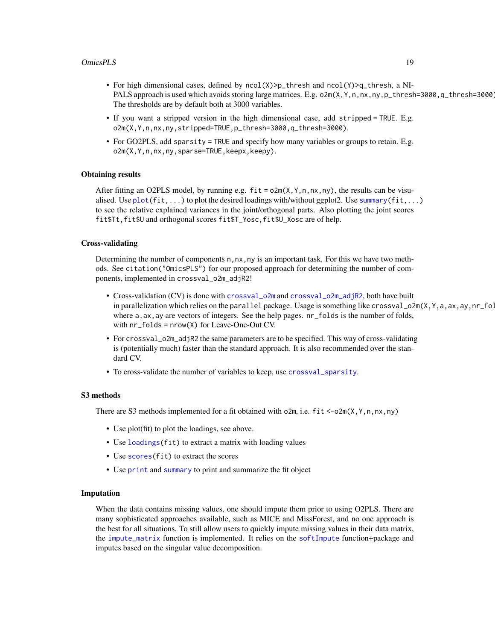#### <span id="page-18-0"></span>OmicsPLS 19

- For high dimensional cases, defined by  $ncol(X)$ >p\_thresh and  $ncol(Y)$ >q\_thresh, a NI-PALS approach is used which avoids storing large matrices. E.g. o2m(X,Y,n,nx,ny,p\_thresh=3000,q\_thresh=3000). The thresholds are by default both at 3000 variables.
- If you want a stripped version in the high dimensional case, add stripped = TRUE. E.g. o2m(X,Y,n,nx,ny,stripped=TRUE,p\_thresh=3000,q\_thresh=3000).
- For GO2PLS, add sparsity = TRUE and specify how many variables or groups to retain. E.g. o2m(X,Y,n,nx,ny,sparse=TRUE,keepx,keepy).

#### Obtaining results

After fitting an O2PLS model, by running e.g.  $fit = o2m(X, Y, n, nx, ny)$ , the results can be visualised. Use  $plot(fit,...)$  $plot(fit,...)$  to plot the desired loadings with/without ggplot2. Use [summary\(](#page-0-0) $fit,...$ ) to see the relative explained variances in the joint/orthogonal parts. Also plotting the joint scores fit\$Tt,fit\$U and orthogonal scores fit\$T\_Yosc,fit\$U\_Xosc are of help.

#### Cross-validating

Determining the number of components n,nx,ny is an important task. For this we have two methods. See citation("OmicsPLS") for our proposed approach for determining the number of components, implemented in crossval\_o2m\_adjR2!

- Cross-validation (CV) is done with [crossval\\_o2m](#page-3-1) and [crossval\\_o2m\\_adjR2](#page-4-1), both have built in parallelization which relies on the parallel package. Usage is something like crossval\_o2m(X, Y, a, ax, ay,nr\_fol where a, ax, ay are vectors of integers. See the help pages.  $nr_f$  olds is the number of folds, with nr\_folds = nrow(X) for Leave-One-Out CV.
- For crossval\_o2m\_adjR2 the same parameters are to be specified. This way of cross-validating is (potentially much) faster than the standard approach. It is also recommended over the standard CV.
- To cross-validate the number of variables to keep, use [crossval\\_sparsity](#page-6-1).

#### S3 methods

There are S3 methods implemented for a fit obtained with o2m, i.e. fit <-o2m(X, Y, n, nx, ny)

- Use plot(fit) to plot the loadings, see above.
- Use [loadings\(](#page-8-1)fit) to extract a matrix with loading values
- Use scores (fit) to extract the scores
- Use [print](#page-0-0) and [summary](#page-0-0) to print and summarize the fit object

#### Imputation

When the data contains missing values, one should impute them prior to using O2PLS. There are many sophisticated approaches available, such as MICE and MissForest, and no one approach is the best for all situations. To still allow users to quickly impute missing values in their data matrix, the [impute\\_matrix](#page-8-2) function is implemented. It relies on the [softImpute](#page-0-0) function+package and imputes based on the singular value decomposition.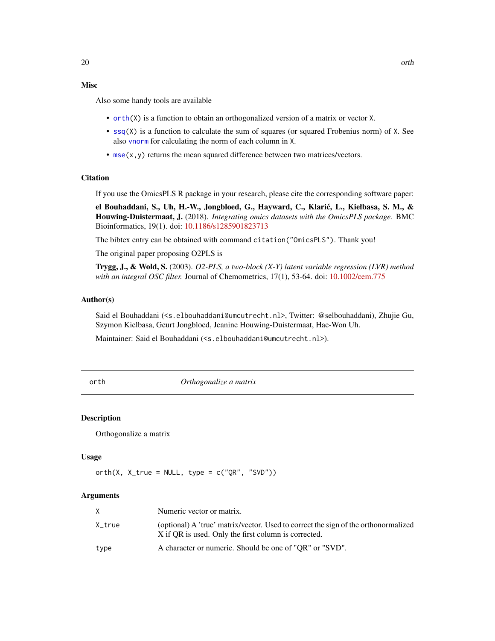## <span id="page-19-0"></span>Misc

Also some handy tools are available

- [orth\(](#page-19-1)X) is a function to obtain an orthogonalized version of a matrix or vector X.
- [ssq\(](#page-26-1)X) is a function to calculate the sum of squares (or squared Frobenius norm) of X. See also [vnorm](#page-28-1) for calculating the norm of each column in X.
- [mse\(](#page-13-1)x, y) returns the mean squared difference between two matrices/vectors.

## **Citation**

If you use the OmicsPLS R package in your research, please cite the corresponding software paper:

el Bouhaddani, S., Uh, H.-W., Jongbloed, G., Hayward, C., Klaric, L., Kiełbasa, S. M., & ´ Houwing-Duistermaat, J. (2018). *Integrating omics datasets with the OmicsPLS package.* BMC Bioinformatics, 19(1). doi: [10.1186/s1285901823713](https://doi.org/10.1186/s12859-018-2371-3)

The bibtex entry can be obtained with command citation("OmicsPLS"). Thank you!

The original paper proposing O2PLS is

Trygg, J., & Wold, S. (2003). *O2-PLS, a two-block (X-Y) latent variable regression (LVR) method with an integral OSC filter.* Journal of Chemometrics, 17(1), 53-64. doi: [10.1002/cem.775](https://doi.org/10.1002/cem.775)

#### Author(s)

Said el Bouhaddani (<s.elbouhaddani@umcutrecht.nl>, Twitter: @selbouhaddani), Zhujie Gu, Szymon Kielbasa, Geurt Jongbloed, Jeanine Houwing-Duistermaat, Hae-Won Uh.

Maintainer: Said el Bouhaddani (<s.elbouhaddani@umcutrecht.nl>).

<span id="page-19-1"></span>

orth *Orthogonalize a matrix*

#### **Description**

Orthogonalize a matrix

#### Usage

```
orth(X, X_{true} = NULL, type = c("QR", "SVD"))
```

| X.     | Numeric vector or matrix.                                                                                                                  |
|--------|--------------------------------------------------------------------------------------------------------------------------------------------|
| X_true | (optional) A 'true' matrix/vector. Used to correct the sign of the orthonormalized<br>X if OR is used. Only the first column is corrected. |
| type   | A character or numeric. Should be one of "OR" or "SVD".                                                                                    |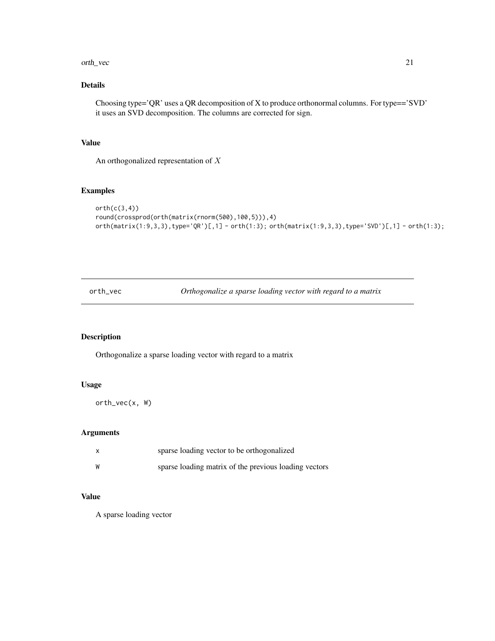#### <span id="page-20-0"></span>orth\_vec 21

## Details

Choosing type='QR' uses a QR decomposition of X to produce orthonormal columns. For type=='SVD' it uses an SVD decomposition. The columns are corrected for sign.

## Value

An orthogonalized representation of X

#### Examples

```
orth(c(3,4))
round(crossprod(orth(matrix(rnorm(500),100,5))),4)
orth(matrix(1:9,3,3),type='QR')[,1] - orth(1:3); orth(matrix(1:9,3,3),type='SVD')[,1] - orth(1:3);
```
orth\_vec *Orthogonalize a sparse loading vector with regard to a matrix*

## Description

Orthogonalize a sparse loading vector with regard to a matrix

#### Usage

orth\_vec(x, W)

#### Arguments

|   | sparse loading vector to be orthogonalized            |
|---|-------------------------------------------------------|
| W | sparse loading matrix of the previous loading vectors |

#### Value

A sparse loading vector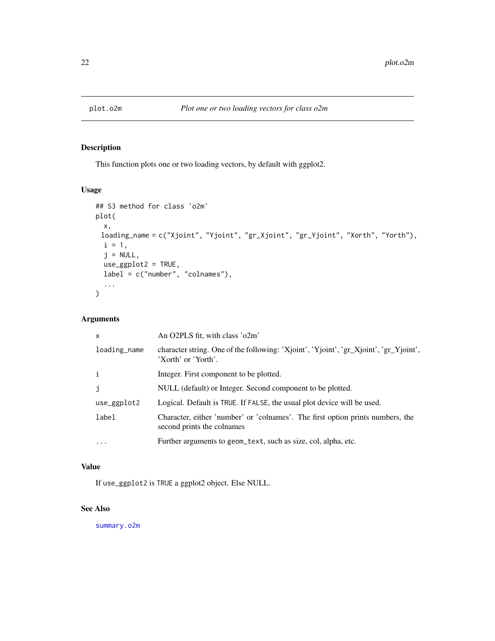<span id="page-21-1"></span><span id="page-21-0"></span>

## Description

This function plots one or two loading vectors, by default with ggplot2.

#### Usage

```
## S3 method for class 'o2m'
plot(
 x,
 loading_name = c("Xjoint", "Yjoint", "gr_Xjoint", "gr_Yjoint", "Xorth", "Yorth"),
 i = 1,j = NULL,use_ggplot2 = TRUE,
 label = c("number", "colnames"),
  ...
)
```
## Arguments

| $\mathsf{x}$ | An O2PLS fit, with class 'o2m'                                                                               |
|--------------|--------------------------------------------------------------------------------------------------------------|
| loading_name | character string. One of the following: 'Xjoint', 'Yjoint', 'gr_Xjoint', 'gr_Yjoint',<br>'Xorth' or 'Yorth'. |
| $\mathbf{i}$ | Integer. First component to be plotted.                                                                      |
| j            | NULL (default) or Integer. Second component to be plotted.                                                   |
| use_ggplot2  | Logical. Default is TRUE. If FALSE, the usual plot device will be used.                                      |
| label        | Character, either 'number' or 'colnames'. The first option prints numbers, the<br>second prints the colnames |
| $\ddots$     | Further arguments to geom_text, such as size, col, alpha, etc.                                               |
|              |                                                                                                              |

#### Value

If use\_ggplot2 is TRUE a ggplot2 object. Else NULL.

#### See Also

[summary.o2m](#page-26-2)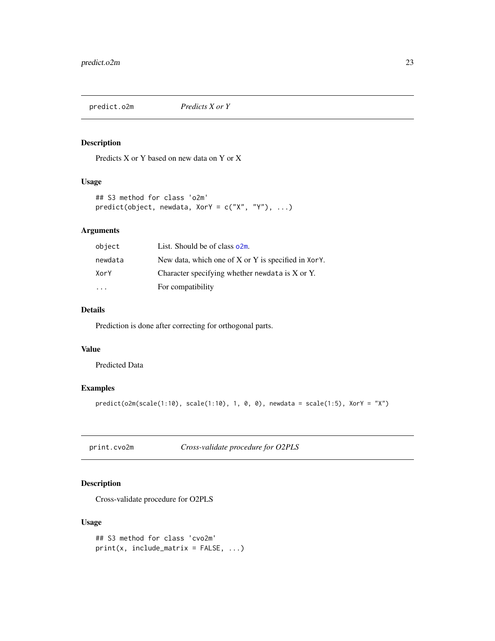<span id="page-22-0"></span>

## Description

Predicts X or Y based on new data on Y or X

#### Usage

```
## S3 method for class 'o2m'
predict(object, newdata, XorY = c("X", "Y"), ...)
```
## Arguments

| object  | List. Should be of class o2m.                           |
|---------|---------------------------------------------------------|
| newdata | New data, which one of $X$ or $Y$ is specified in XorY. |
| XorY    | Character specifying whether newdata is X or Y.         |
|         | For compatibility                                       |

## Details

Prediction is done after correcting for orthogonal parts.

## Value

Predicted Data

#### Examples

```
predict(o2m(scale(1:10), scale(1:10), 1, 0, 0), newdata = scale(1:5), XorY = "X")
```
print.cvo2m *Cross-validate procedure for O2PLS*

## Description

Cross-validate procedure for O2PLS

#### Usage

```
## S3 method for class 'cvo2m'
print(x, include_matrix = FALSE, ...)
```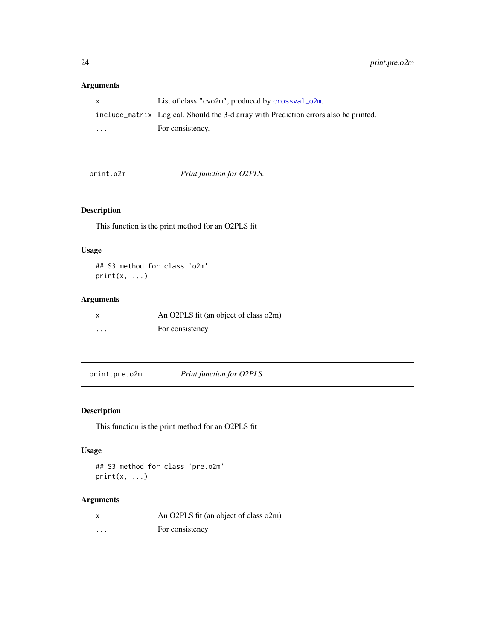## <span id="page-23-0"></span>Arguments

|                         | List of class " $\text{cvo2m}$ ", produced by $\text{crossval}\_\text{o2m}$ .        |
|-------------------------|--------------------------------------------------------------------------------------|
|                         | include_matrix Logical. Should the 3-d array with Prediction errors also be printed. |
| $\cdot$ $\cdot$ $\cdot$ | For consistency.                                                                     |

print.o2m *Print function for O2PLS.*

## Description

This function is the print method for an O2PLS fit

## Usage

## S3 method for class 'o2m'  $print(x, \ldots)$ 

## Arguments

|         | An O2PLS fit (an object of class o2m) |
|---------|---------------------------------------|
| $\cdot$ | For consistency                       |

print.pre.o2m *Print function for O2PLS.*

## Description

This function is the print method for an O2PLS fit

## Usage

```
## S3 method for class 'pre.o2m'
print(x, \ldots)
```

| X        | An O2PLS fit (an object of class o2m) |
|----------|---------------------------------------|
| $\cdots$ | For consistency                       |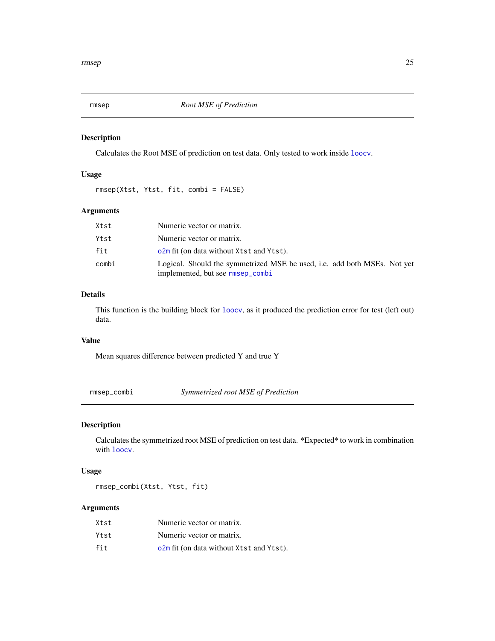<span id="page-24-2"></span><span id="page-24-0"></span>

## Description

Calculates the Root MSE of prediction on test data. Only tested to work inside [loocv](#page-9-1).

### Usage

rmsep(Xtst, Ytst, fit, combi = FALSE)

## Arguments

| Xtst  | Numeric vector or matrix.                                                                                    |
|-------|--------------------------------------------------------------------------------------------------------------|
| Ytst  | Numeric vector or matrix.                                                                                    |
| fit   | o2m fit (on data without Xtst and Ytst).                                                                     |
| combi | Logical. Should the symmetrized MSE be used, i.e. add both MSEs. Not yet<br>implemented, but see rmsep_combi |

## Details

This function is the building block for [loocv](#page-9-1), as it produced the prediction error for test (left out) data.

#### Value

Mean squares difference between predicted Y and true Y

<span id="page-24-1"></span>rmsep\_combi *Symmetrized root MSE of Prediction*

## Description

Calculates the symmetrized root MSE of prediction on test data. \*Expected\* to work in combination with [loocv](#page-9-1).

#### Usage

rmsep\_combi(Xtst, Ytst, fit)

| Xtst | Numeric vector or matrix.                |
|------|------------------------------------------|
| Ytst | Numeric vector or matrix.                |
| fit  | o2m fit (on data without Xtst and Ytst). |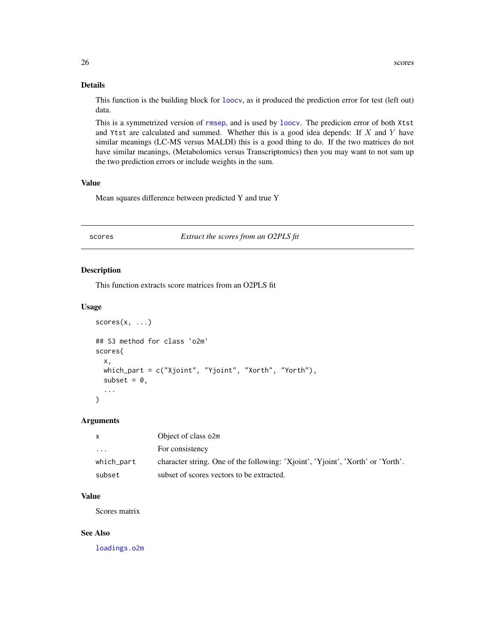#### Details

This function is the building block for [loocv](#page-9-1), as it produced the prediction error for test (left out) data.

This is a symmetrized version of [rmsep](#page-24-2), and is used by [loocv](#page-9-1). The predicion error of both Xtst and Ytst are calculated and summed. Whether this is a good idea depends: If  $X$  and  $Y$  have similar meanings (LC-MS versus MALDI) this is a good thing to do. If the two matrices do not have similar meanings, (Metabolomics versus Transcriptomics) then you may want to not sum up the two prediction errors or include weights in the sum.

#### Value

Mean squares difference between predicted Y and true Y

<span id="page-25-2"></span>scores *Extract the scores from an O2PLS fit*

#### <span id="page-25-1"></span>Description

This function extracts score matrices from an O2PLS fit

#### Usage

```
scores(x, \ldots)## S3 method for class 'o2m'
scores(
  x,
  which_part = c("Xjoint", "Yjoint", "Xorth", "Yorth"),
  subset = 0.
  ...
)
```
#### Arguments

| X          | Object of class o2m                                                             |
|------------|---------------------------------------------------------------------------------|
| $\cdots$   | For consistency                                                                 |
| which_part | character string. One of the following: 'Xjoint', 'Yjoint', 'Xorth' or 'Yorth'. |
| subset     | subset of scores vectors to be extracted.                                       |

## Value

Scores matrix

#### See Also

[loadings.o2m](#page-8-3)

<span id="page-25-0"></span>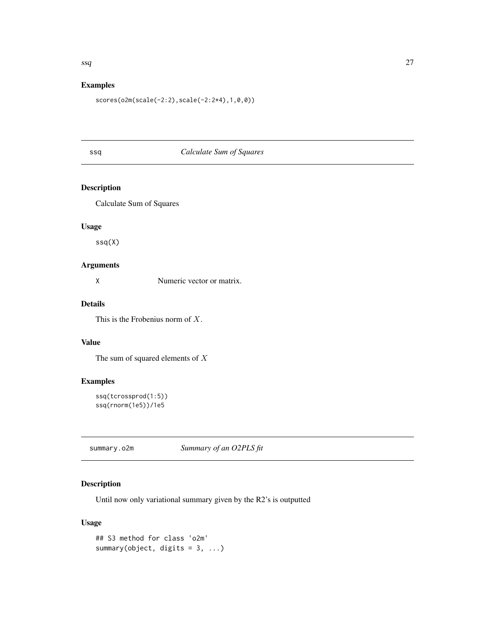## <span id="page-26-0"></span>Examples

scores(o2m(scale(-2:2),scale(-2:2\*4),1,0,0))

## <span id="page-26-1"></span>ssq *Calculate Sum of Squares*

## Description

Calculate Sum of Squares

## Usage

ssq(X)

## Arguments

X Numeric vector or matrix.

## Details

This is the Frobenius norm of X.

## Value

The sum of squared elements of  $X$ 

## Examples

```
ssq(tcrossprod(1:5))
ssq(rnorm(1e5))/1e5
```
<span id="page-26-2"></span>summary.o2m *Summary of an O2PLS fit*

## Description

Until now only variational summary given by the R2's is outputted

#### Usage

```
## S3 method for class 'o2m'
summary(object, digits = 3, ...)
```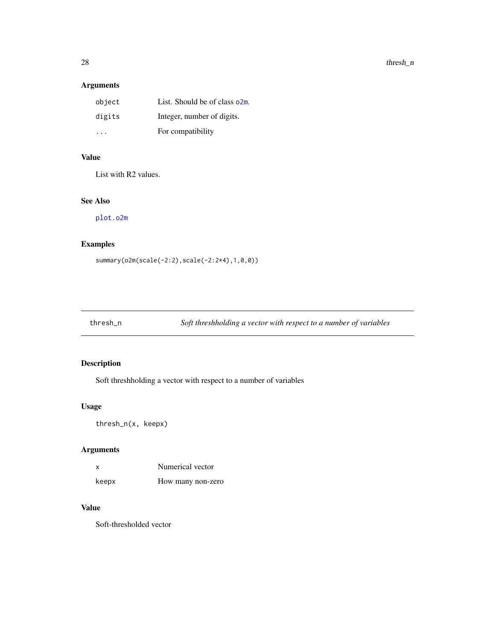## <span id="page-27-0"></span>Arguments

| object | List. Should be of class o2m. |
|--------|-------------------------------|
| digits | Integer, number of digits.    |
| .      | For compatibility             |

## Value

List with R2 values.

## See Also

[plot.o2m](#page-21-1)

## Examples

summary(o2m(scale(-2:2),scale(-2:2\*4),1,0,0))

thresh\_n *Soft threshholding a vector with respect to a number of variables*

## Description

Soft threshholding a vector with respect to a number of variables

## Usage

thresh\_n(x, keepx)

## Arguments

| x     | Numerical vector  |  |
|-------|-------------------|--|
| keepx | How many non-zero |  |

## Value

Soft-thresholded vector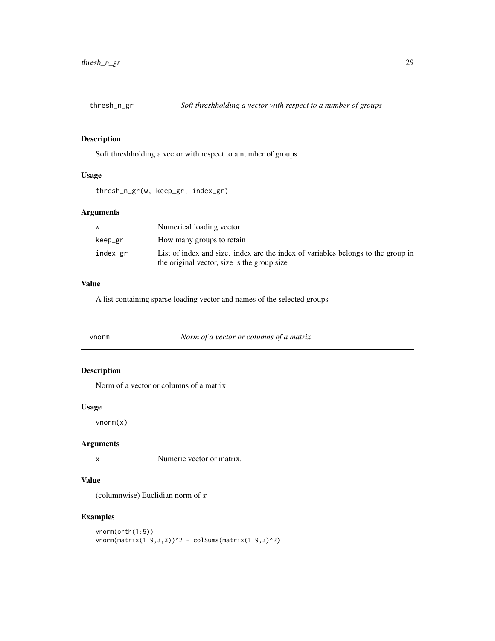<span id="page-28-0"></span>

## Description

Soft threshholding a vector with respect to a number of groups

## Usage

thresh\_n\_gr(w, keep\_gr, index\_gr)

## Arguments

| w        | Numerical loading vector                                                                                                        |
|----------|---------------------------------------------------------------------------------------------------------------------------------|
| keep_gr  | How many groups to retain                                                                                                       |
| index_gr | List of index and size, index are the index of variables belongs to the group in<br>the original vector, size is the group size |

#### Value

A list containing sparse loading vector and names of the selected groups

<span id="page-28-1"></span>

| vnorm | Norm of a vector or columns of a matrix |  |
|-------|-----------------------------------------|--|
|-------|-----------------------------------------|--|

## Description

Norm of a vector or columns of a matrix

#### Usage

vnorm(x)

#### Arguments

x Numeric vector or matrix.

#### Value

(columnwise) Euclidian norm of  $x$ 

#### Examples

```
vnorm(orth(1:5))
vnorm(matrix(1:9,3,3))^2 - colSums(matrix(1:9,3)^2)
```